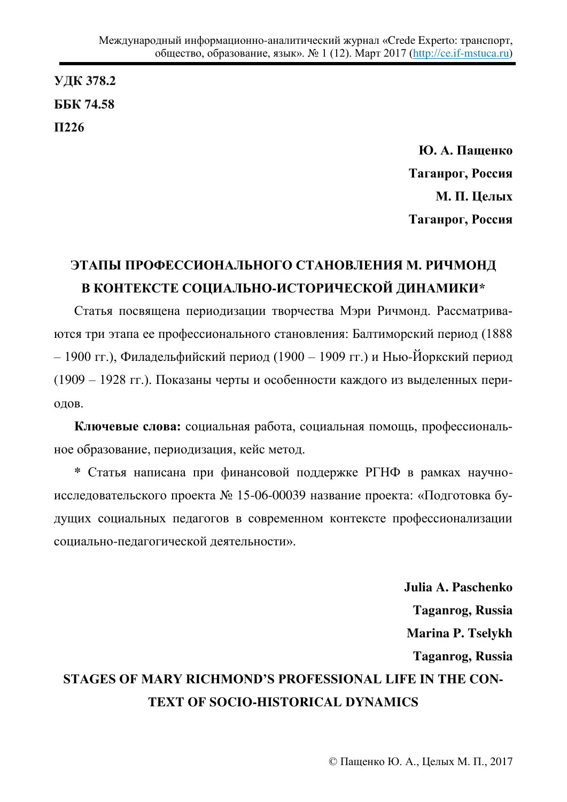## **ɍȾɄ 378.2 ȻȻɄ 74.58 ɉ226**

**Ю. А. Пашенко Таганрог, Россия Ɇ. ɉ. ɐɟɥых Таганрог, Россия** 

## ЭТАПЫ ПРОФЕССИОНАЛЬНОГО СТАНОВЛЕНИЯ М. РИЧМОНД В КОНТЕКСТЕ СОЦИАЛЬНО-ИСТОРИЧЕСКОЙ ДИНАМИКИ\*

Статья посвящена периодизации творчества Мэри Ричмонд. Рассматриваются три этапа ее профессионального становления: Балтиморский период (1888 – 1900 гг.), Филадельфийский период (1900 – 1909 гг.) и Нью-Йоркский период (1909 – 1928 гг.). Показаны черты и особенности каждого из выделенных периодов.

Ключевые слова: социальная работа, социальная помощь, профессиональное образование, периодизация, кейс метод.

**\*** Статья написана при финансовой поддержке РГНФ в рамках научноисследовательского проекта № 15-06-00039 название проекта: «Подготовка будущих социальных педагогов в современном контексте профессионализации социально-педагогической деятельности».

**Julia A. Paschenko Taganrog, Russia Marina P. Tselykh Taganrog, Russia STAGES OF MARY RICHMOND'S PROFESSIONAL LIFE IN THE CON-TEXT OF SOCIO-HISTORICAL DYNAMICS**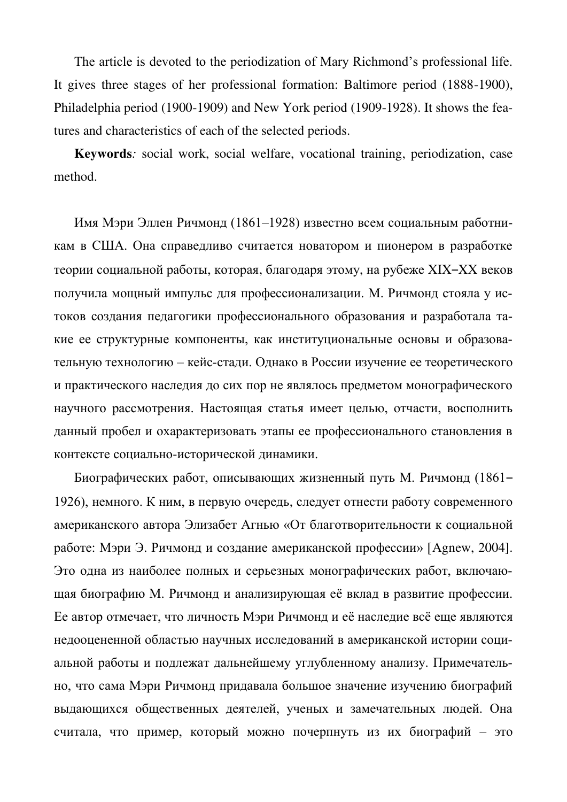The article is devoted to the periodization of Mary Richmond's professional life. It gives three stages of her professional formation: Baltimore period (1888-1900), Philadelphia period (1900-1909) and New York period (1909-1928). It shows the features and characteristics of each of the selected periods.

**Keywords***:* social work, social welfare, vocational training, periodization, case method.

Имя Мэри Эллен Ричмонд (1861–1928) известно всем социальным работникам в США. Она справедливо считается новатором и пионером в разработке теории социальной работы, которая, благодаря этому, на рубеже XIX–XX веков получила мощный импульс для профессионализации. М. Ричмонд стояла у истоков создания педагогики профессионального образования и разработала такие ее структурные компоненты, как институциональные основы и образовательную технологию – кейс-стади. Однако в России изучение ее теоретического и практического наследия до сих пор не являлось предметом монографического научного рассмотрения. Настоящая статья имеет целью, отчасти, восполнить данный пробел и охарактеризовать этапы ее профессионального становления в контексте социально-исторической динамики.

Биографических работ, описывающих жизненный путь М. Ричмонд (1861– 1926), немного. К ним, в первую очередь, следует отнести работу современного американского автора Элизабет Агнью «От благотворительности к социальной работе: Мэри Э. Ричмонд и создание американской профессии» [Agnew, 2004]. Это одна из наиболее полных и серьезных монографических работ, включающая биографию М. Ричмонд и анализирующая её вклад в развитие профессии. Ее автор отмечает, что личность Мэри Ричмонд и её наследие всё еще являются недооцененной областью научных исследований в американской истории социальной работы и подлежат дальнейшему углубленному анализу. Примечательно, что сама Мэри Ричмонд придавала большое значение изучению биографий выдающихся общественных деятелей, ученых и замечательных людей. Она считала, что пример, который можно почерпнуть из их биографий – это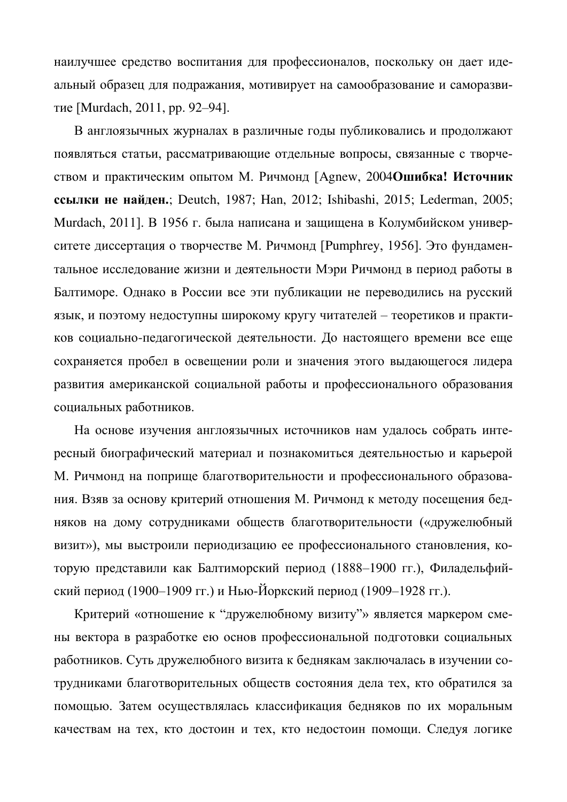наилучшее средство воспитания для профессионалов, поскольку он дает идеальный образец для подражания, мотивирует на самообразование и саморазвитие [Murdach, 2011, pp. 92–94].

В англоязычных журналах в различные годы публиковались и продолжают появляться статьи, рассматривающие отдельные вопросы, связанные с творчеством и практическим опытом М. Ричмонд [Agnew, 2004 Ошибка! Источник **ссылки не найден.**; Deutch, 1987; Han, 2012; Ishibashi, 2015; Lederman, 2005; Murdach, 2011]. В 1956 г. была написана и защищена в Колумбийском университете диссертация о творчестве М. Ричмонд [Pumphrey, 1956]. Это фундаментальное исследование жизни и деятельности Мэри Ричмонд в период работы в Балтиморе. Однако в России все эти публикации не переводились на русский язык, и поэтому недоступны широкому кругу читателей – теоретиков и практиков социально-педагогической деятельности. До настоящего времени все еще сохраняется пробел в освещении роли и значения этого выдающегося лидера развития американской социальной работы и профессионального образования социальных работников.

На основе изучения англоязычных источников нам удалось собрать интересный биографический материал и познакомиться деятельностью и карьерой М. Ричмонд на поприще благотворительности и профессионального образования. Взяв за основу критерий отношения М. Ричмонд к методу посещения бедняков на дому сотрудниками обществ благотворительности («дружелюбный визит»), мы выстроили периодизацию ее профессионального становления, которую представили как Балтиморский период (1888–1900 гг.), Филадельфийский период (1900–1909 гг.) и Нью-Йоркский период (1909–1928 гг.).

Критерий «отношение к "дружелюбному визиту"» является маркером смены вектора в разработке ею основ профессиональной подготовки социальных работников. Суть дружелюбного визита к беднякам заключалась в изучении сотрудниками благотворительных обществ состояния дела тех, кто обратился за помощью. Затем осуществлялась классификация бедняков по их моральным качествам на тех, кто достоин и тех, кто недостоин помощи. Следуя логике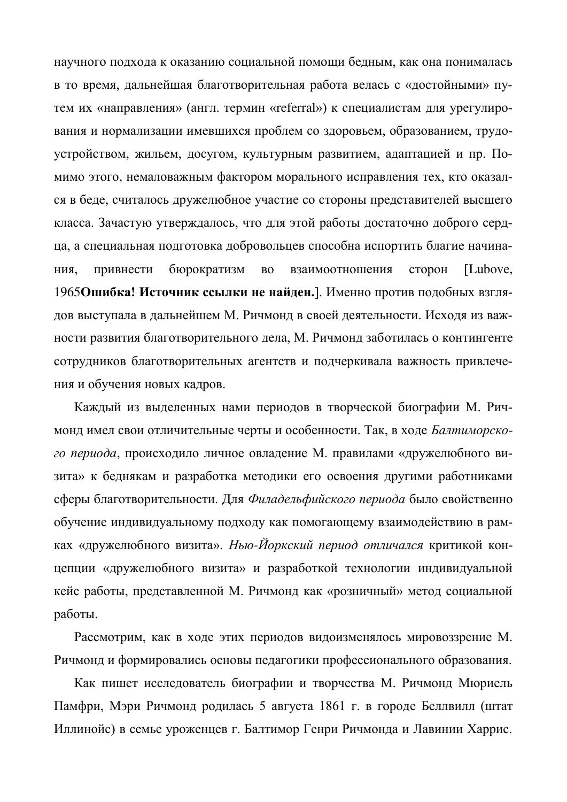научного подхода к оказанию социальной помощи бедным, как она понималась в то время, дальнейшая благотворительная работа велась с «достойными» путем их «направления» (англ. термин «referral») к специалистам для урегулирования и нормализации имевшихся проблем со здоровьем, образованием, трудоустройством, жильем, досугом, культурным развитием, адаптацией и пр. Помимо этого, немаловажным фактором морального исправления тех, кто оказался в беде, считалось дружелюбное участие со стороны представителей высшего класса. Зачастую утверждалось, что для этой работы достаточно доброго сердца, а специальная подготовка добровольцев способна испортить благие начинания, привнести бюрократизм во взаимоотношения сторон [Lubove, 1965 Ошибка! Источник ссылки не найден.]. Именно против подобных взглядов выступала в дальнейшем М. Ричмонд в своей деятельности. Исходя из важности развития благотворительного дела, М. Ричмонд заботилась о контингенте сотрудников благотворительных агентств и подчеркивала важность привлечения и обучения новых кадров.

Каждый из выделенных нами периодов в творческой биографии М. Ричмонд имел свои отличительные черты и особенности. Так, в ходе *Балтиморского периода*, происходило личное овладение М. правилами «дружелюбного визита» к беднякам и разработка методики его освоения другими работниками сферы благотворительности. Для Филадельфийского периода было свойственно обучение индивидуальному подходу как помогающему взаимодействию в рамках «дружелюбного визита». *Нью-Йоркский период отличался* критикой концепции «дружелюбного визита» и разработкой технологии индивидуальной кейс работы, представленной М. Ричмонд как «розничный» метод социальной работы.

Рассмотрим, как в ходе этих периодов видоизменялось мировоззрение М. Ричмонд и формировались основы педагогики профессионального образования.

Как пишет исследователь биографии и творчества М. Ричмонд Мюриель Памфри, Мэри Ричмонд родилась 5 августа 1861 г. в городе Беллвилл (штат Иллинойс) в семье уроженцев г. Балтимор Генри Ричмонда и Лавинии Харрис.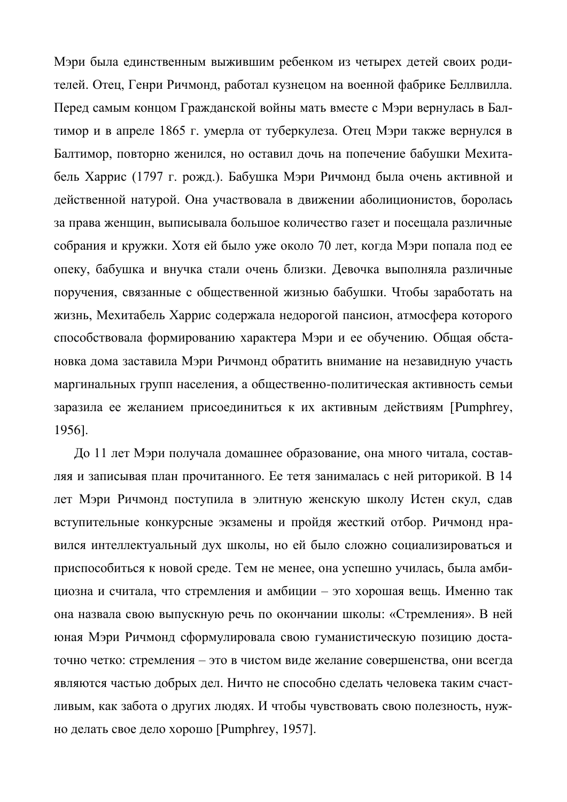Мэри была единственным выжившим ребенком из четырех детей своих родителей. Отец, Генри Ричмонд, работал кузнецом на военной фабрике Беллвилла. Перед самым концом Гражданской войны мать вместе с Мэри вернулась в Балтимор и в апреле 1865 г. умерла от туберкулеза. Отец Мэри также вернулся в Балтимор, повторно женился, но оставил дочь на попечение бабушки Мехитабель Харрис (1797 г. рожд.). Бабушка Мэри Ричмонд была очень активной и действенной натурой. Она участвовала в движении аболиционистов, боролась за права женщин, выписывала большое количество газет и посещала различные собрания и кружки. Хотя ей было уже около 70 лет, когда Мэри попала под ее опеку, бабушка и внучка стали очень близки. Девочка выполняла различные поручения, связанные с общественной жизнью бабушки. Чтобы заработать на жизнь, Мехитабель Харрис содержала недорогой пансион, атмосфера которого способствовала формированию характера Мэри и ее обучению. Общая обстановка дома заставила Мэри Ричмонд обратить внимание на незавидную участь маргинальных групп населения, а общественно-политическая активность семьи заразила ее желанием присоединиться к их активным действиям [Pumphrey, 1956].

До 11 лет Мэри получала домашнее образование, она много читала, составляя и записывая план прочитанного. Ее тетя занималась с ней риторикой. В 14 лет Мэри Ричмонд поступила в элитную женскую школу Истен скул, сдав вступительные конкурсные экзамены и пройдя жесткий отбор. Ричмонд нравился интеллектуальный дух школы, но ей было сложно социализироваться и приспособиться к новой среде. Тем не менее, она успешно училась, была амбициозна и считала, что стремления и амбиции – это хорошая вещь. Именно так она назвала свою выпускную речь по окончании школы: «Стремления». В ней юная Мэри Ричмонд сформулировала свою гуманистическую позицию достаточно четко: стремления – это в чистом виде желание совершенства, они всегда являются частью добрых дел. Ничто не способно сделать человека таким счастливым, как забота о других людях. И чтобы чувствовать свою полезность, нужно делать свое дело хорошо [Pumphrey, 1957].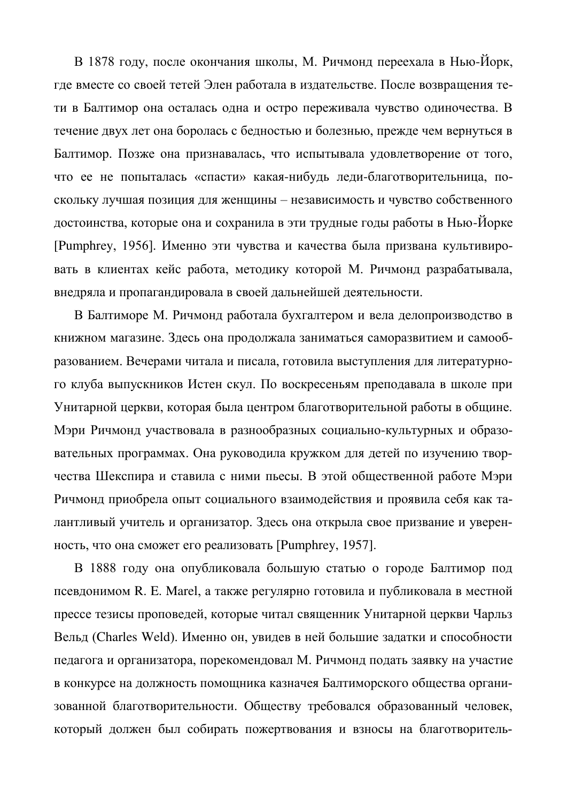В 1878 году, после окончания школы, М. Ричмонд переехала в Нью-Йорк, где вместе со своей тетей Элен работала в издательстве. После возвращения тети в Балтимор она осталась одна и остро переживала чувство одиночества. В течение двух лет она боролась с бедностью и болезнью, прежде чем вернуться в Балтимор. Позже она признавалась, что испытывала удовлетворение от того, что ее не попыталась «спасти» какая-нибудь леди-благотворительница, поскольку лучшая позиция для женщины – независимость и чувство собственного достоинства, которые она и сохранила в эти трудные годы работы в Нью-Йорке [Pumphrey, 1956]. Именно эти чувства и качества была призвана культивировать в клиентах кейс работа, методику которой М. Ричмонд разрабатывала, внедряла и пропагандировала в своей дальнейшей деятельности.

В Балтиморе М. Ричмонд работала бухгалтером и вела делопроизводство в книжном магазине. Здесь она продолжала заниматься саморазвитием и самообразованием. Вечерами читала и писала, готовила выступления для литературного клуба выпускников Истен скул. По воскресеньям преподавала в школе при Унитарной церкви, которая была центром благотворительной работы в общине. Мэри Ричмонд участвовала в разнообразных социально-культурных и образовательных программах. Она руководила кружком для детей по изучению творчества Шекспира и ставила с ними пьесы. В этой общественной работе Мэри Ричмонд приобрела опыт социального взаимодействия и проявила себя как талантливый учитель и организатор. Здесь она открыла свое призвание и уверенность, что она сможет его реализовать [Pumphrey, 1957].

В 1888 году она опубликовала большую статью о городе Балтимор под псевдонимом R. E. Marel, а также регулярно готовила и публиковала в местной прессе тезисы проповедей, которые читал священник Унитарной церкви Чарльз Вельд (Charles Weld). Именно он, увидев в ней большие задатки и способности педагога и организатора, порекомендовал М. Ричмонд подать заявку на участие в конкурсе на должность помощника казначея Балтиморского общества организованной благотворительности. Обществу требовался образованный человек, который должен был собирать пожертвования и взносы на благотворитель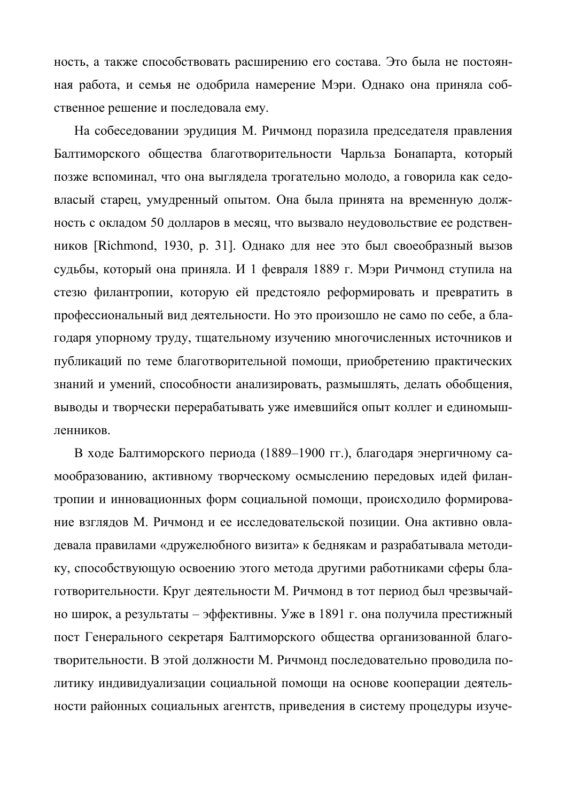ность, а также способствовать расширению его состава. Это была не постоянная работа, и семья не одобрила намерение Мэри. Однако она приняла собственное решение и последовала ему.

На собеседовании эрудиция М. Ричмонд поразила председателя правления Балтиморского общества благотворительности Чарльза Бонапарта, который позже вспоминал, что она выглядела трогательно молодо, а говорила как седовласый старец, умудренный опытом. Она была принята на временную должность с окладом 50 долларов в месяц, что вызвало неудовольствие ее родственников [Richmond, 1930, р. 31]. Однако для нее это был своеобразный вызов судьбы, который она приняла. И 1 февраля 1889 г. Мэри Ричмонд ступила на стезю филантропии, которую ей предстояло реформировать и превратить в профессиональный вид деятельности. Но это произошло не само по себе, а благодаря упорному труду, тщательному изучению многочисленных источников и публикаций по теме благотворительной помощи, приобретению практических знаний и умений, способности анализировать, размышлять, делать обобщения, выводы и творчески перерабатывать уже имевшийся опыт коллег и единомышленников.

В ходе Балтиморского периода (1889–1900 гг.), благодаря энергичному самообразованию, активному творческому осмыслению передовых идей филантропии и инновационных форм социальной помощи, происходило формирование взглядов М. Ричмонд и ее исследовательской позиции. Она активно овладевала правилами «дружелюбного визита» к беднякам и разрабатывала методику, способствующую освоению этого метода другими работниками сферы благотворительности. Круг деятельности М. Ричмонд в тот период был чрезвычайно широк, а результаты – эффективны. Уже в 1891 г. она получила престижный пост Генерального секретаря Балтиморского общества организованной благотворительности. В этой должности М. Ричмонд последовательно проводила политику индивидуализации социальной помощи на основе кооперации деятельности районных социальных агентств, приведения в систему процедуры изуче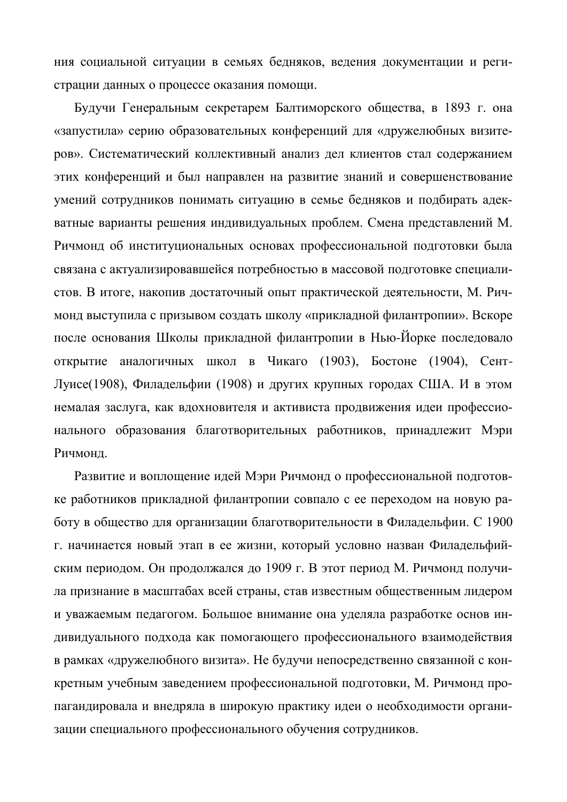ния социальной ситуации в семьях бедняков, ведения документации и регистрации данных о процессе оказания помощи.

Будучи Генеральным секретарем Балтиморского общества, в 1893 г. она «запустила» серию образовательных конференций для «дружелюбных визитеров». Систематический коллективный анализ дел клиентов стал содержанием этих конференций и был направлен на развитие знаний и совершенствование умений сотрудников понимать ситуацию в семье бедняков и подбирать адекватные варианты решения индивидуальных проблем. Смена представлений М. Ричмонд об институциональных основах профессиональной подготовки была связана с актуализировавшейся потребностью в массовой подготовке специалистов. В итоге, накопив достаточный опыт практической деятельности, М. Ричмонд выступила с призывом создать школу «прикладной филантропии». Вскоре после основания Школы прикладной филантропии в Нью-Йорке последовало открытие аналогичных школ в Чикаго (1903), Бостоне (1904), Сент-Луисе(1908), Филадельфии (1908) и других крупных городах США. И в этом немалая заслуга, как вдохновителя и активиста продвижения идеи профессионального образования благотворительных работников, принадлежит Мэри Ричмонд.

Развитие и воплощение идей Мэри Ричмонд о профессиональной подготовке работников прикладной филантропии совпало с ее переходом на новую работу в общество для организации благотворительности в Филадельфии. С 1900 г. начинается новый этап в ее жизни, который условно назван Филадельфийским периодом. Он продолжался до 1909 г. В этот период М. Ричмонд получила признание в масштабах всей страны, став известным общественным лидером и уважаемым педагогом. Большое внимание она уделяла разработке основ индивидуального подхода как помогающего профессионального взаимодействия в рамках «дружелюбного визита». Не будучи непосредственно связанной с конкретным учебным заведением профессиональной подготовки, М. Ричмонд пропагандировала и внедряла в широкую практику идеи о необходимости организации специального профессионального обучения сотрудников.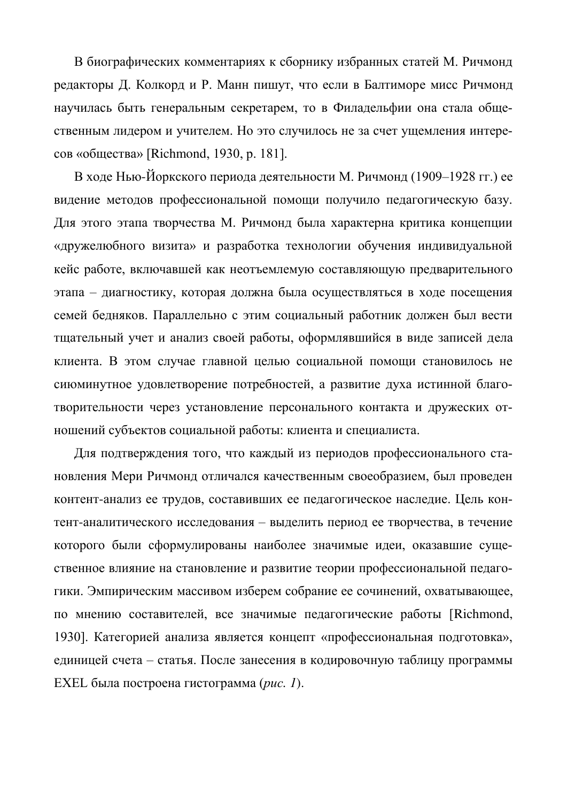В биографических комментариях к сборнику избранных статей М. Ричмонд редакторы Д. Колкорд и Р. Манн пишут, что если в Балтиморе мисс Ричмонд научилась быть генеральным секретарем, то в Филадельфии она стала общественным лидером и учителем. Но это случилось не за счет ущемления интересов «общества» [Richmond, 1930, p. 181].

В ходе Нью-Йоркского периода деятельности М. Ричмонд (1909–1928 гг.) ее видение методов профессиональной помощи получило педагогическую базу. Для этого этапа творчества М. Ричмонд была характерна критика концепции «дружелюбного визита» и разработка технологии обучения индивидуальной кейс работе, включавшей как неотъемлемую составляющую предварительного этапа – диагностику, которая должна была осуществляться в ходе посещения семей бедняков. Параллельно с этим социальный работник должен был вести тщательный учет и анализ своей работы, оформлявшийся в виде записей дела клиента. В этом случае главной целью социальной помощи становилось не сиюминутное удовлетворение потребностей, а развитие духа истинной благотворительности через установление персонального контакта и дружеских отношений субъектов социальной работы: клиента и специалиста.

Для подтверждения того, что каждый из периодов профессионального становления Мери Ричмонд отличался качественным своеобразием, был проведен контент-анализ ее трудов, составивших ее педагогическое наследие. Цель контент-аналитического исследования – выделить период ее творчества, в течение которого были сформулированы наиболее значимые идеи, оказавшие существенное влияние на становление и развитие теории профессиональной педагогики. Эмпирическим массивом изберем собрание ее сочинений, охватывающее, по мнению составителей, все значимые педагогические работы [Richmond, 1930]. Категорией анализа является концепт «профессиональная подготовка», единицей счета – статья. После занесения в кодировочную таблицу программы ЕХЕL была построена гистограмма (рис. 1).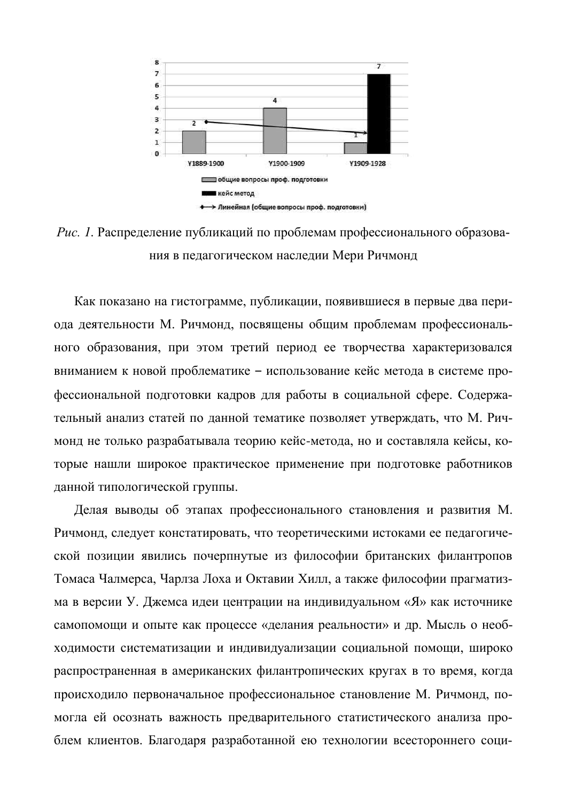

Рис. 1. Распределение публикаций по проблемам профессионального образования в педагогическом наследии Мери Ричмонд

Как показано на гистограмме, публикации, появившиеся в первые два периода деятельности М. Ричмонд, посвящены общим проблемам профессионального образования, при этом третий период ее творчества характеризовался вниманием к новой проблематике - использование кейс метода в системе профессиональной подготовки кадров для работы в социальной сфере. Содержательный анализ статей по данной тематике позволяет утверждать, что М. Ричмонд не только разрабатывала теорию кейс-метода, но и составляла кейсы, которые нашли широкое практическое применение при подготовке работников данной типологической группы.

Делая выводы об этапах профессионального становления и развития М. Ричмонд, следует констатировать, что теоретическими истоками ее педагогической позиции явились почерпнутые из философии британских филантропов Томаса Чалмерса, Чарлза Лоха и Октавии Хилл, а также философии прагматизма в версии У. Джемса идеи центрации на индивидуальном «Я» как источнике самопомощи и опыте как процессе «делания реальности» и др. Мысль о необходимости систематизации и индивидуализации социальной помощи, широко распространенная в американских филантропических кругах в то время, когда происходило первоначальное профессиональное становление М. Ричмонд, помогла ей осознать важность предварительного статистического анализа проблем клиентов. Благодаря разработанной ею технологии всестороннего соци-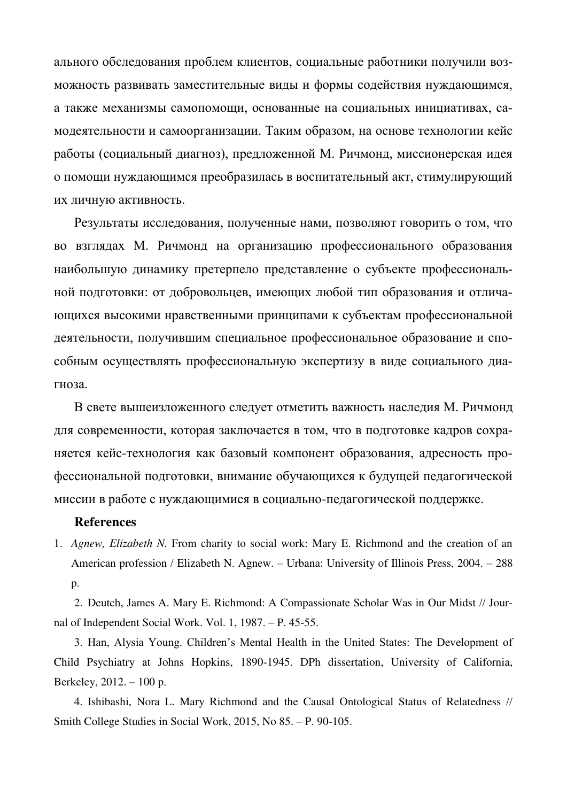ального обследования проблем клиентов, социальные работники получили возможность развивать заместительные виды и формы содействия нуждающимся, а также механизмы самопомощи, основанные на социальных инициативах, самодеятельности и самоорганизации. Таким образом, на основе технологии кейс работы (социальный диагноз), предложенной М. Ричмонд, миссионерская идея о помощи нуждающимся преобразилась в воспитательный акт, стимулирующий их личную активность.

Результаты исследования, полученные нами, позволяют говорить о том, что во взглядах М. Ричмонд на организацию профессионального образования наибольшую динамику претерпело представление о субъекте профессиональной подготовки: от добровольцев, имеющих любой тип образования и отличающихся высокими нравственными принципами к субъектам профессиональной деятельности, получившим специальное профессиональное образование и способным осуществлять профессиональную экспертизу в виде социального диагноза.

В свете вышеизложенного следует отметить важность наследия М. Ричмонд для современности, которая заключается в том, что в подготовке кадров сохраняется кейс-технология как базовый компонент образования, адресность профессиональной подготовки, внимание обучающихся к будущей педагогической миссии в работе с нуждающимися в социально-педагогической поддержке.

## **References**

1. *Agnew, Elizabeth N.* From charity to social work: Mary E. Richmond and the creation of an American profession / Elizabeth N. Agnew. – Urbana: University of Illinois Press, 2004. – 288 p.

2. Deutch, James A. Mary E. Richmond: A Compassionate Scholar Was in Our Midst // Journal of Independent Social Work. Vol. 1, 1987. – P. 45-55.

3. Han, Alysia Young. Children's Mental Health in the United States: The Development of Child Psychiatry at Johns Hopkins, 1890-1945. DPh dissertation, University of California, Berkeley, 2012. – 100 p.

4. Ishibashi, Nora L. Mary Richmond and the Causal Ontological Status of Relatedness // Smith College Studies in Social Work, 2015, No 85. – P. 90-105.